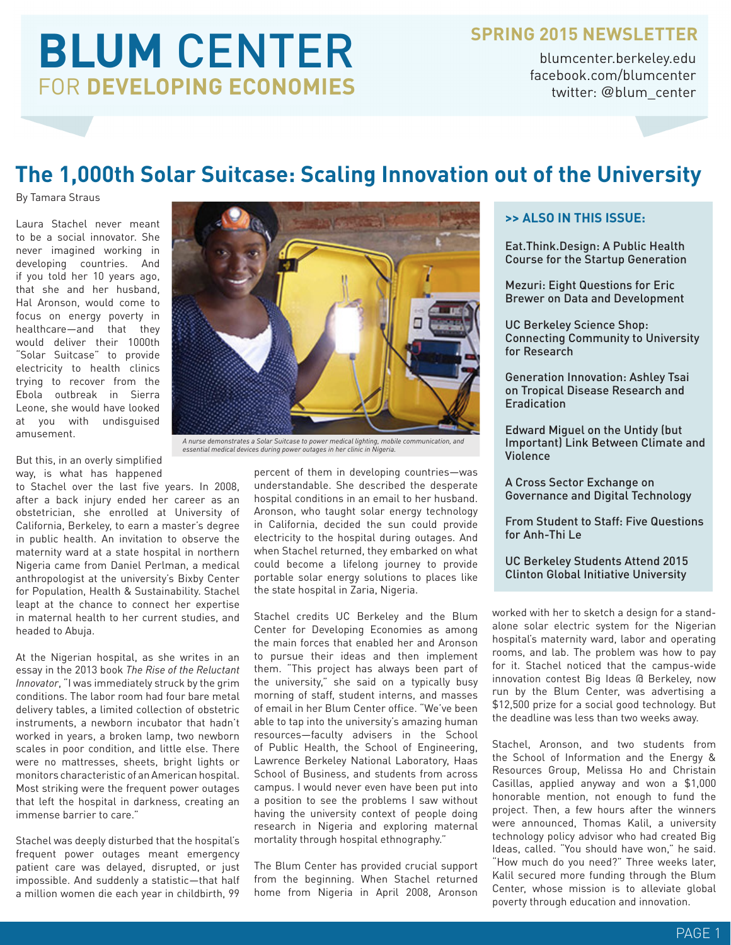# **BLUM** CENTER FOR **DEVELOPING ECONOMIES**

### **SPRING 2015 NEWSLETTER**

blumcenter.berkeley.edu facebook.com/blumcenter twitter: @blum\_center

### **The 1,000th Solar Suitcase: Scaling Innovation out of the University**

By Tamara Straus

Laura Stachel never meant to be a social innovator. She never imagined working in developing countries. And if you told her 10 years ago, that she and her husband, Hal Aronson, would come to focus on energy poverty in healthcare—and that they would deliver their 1000th "Solar Suitcase" to provide electricity to health clinics trying to recover from the Ebola outbreak in Sierra Leone, she would have looked at you with undisguised amusement.

But this, in an overly simplified way, is what has happened

to Stachel over the last five years. In 2008, after a back injury ended her career as an obstetrician, she enrolled at University of California, Berkeley, to earn a master's degree in public health. An invitation to observe the maternity ward at a state hospital in northern Nigeria came from Daniel Perlman, a medical anthropologist at the university's Bixby Center for Population, Health & Sustainability. Stachel leapt at the chance to connect her expertise in maternal health to her current studies, and headed to Abuja.

At the Nigerian hospital, as she writes in an essay in the 2013 book *The Rise of the Reluctant Innovator*, "I was immediately struck by the grim conditions. The labor room had four bare metal delivery tables, a limited collection of obstetric instruments, a newborn incubator that hadn't worked in years, a broken lamp, two newborn scales in poor condition, and little else. There were no mattresses, sheets, bright lights or monitors characteristic of an American hospital. Most striking were the frequent power outages that left the hospital in darkness, creating an immense barrier to care."

Stachel was deeply disturbed that the hospital's frequent power outages meant emergency patient care was delayed, disrupted, or just impossible. And suddenly a statistic—that half a million women die each year in childbirth, 99



*A nurse demonstrates a Solar Suitcase to power medical lighting, mobile communication, and essential medical devices during power outages in her clinic in Nigeria.*

percent of them in developing countries—was understandable. She described the desperate hospital conditions in an email to her husband. Aronson, who taught solar energy technology in California, decided the sun could provide electricity to the hospital during outages. And when Stachel returned, they embarked on what could become a lifelong journey to provide portable solar energy solutions to places like the state hospital in Zaria, Nigeria.

Stachel credits UC Berkeley and the Blum Center for Developing Economies as among the main forces that enabled her and Aronson to pursue their ideas and then implement them. "This project has always been part of the university," she said on a typically busy morning of staff, student interns, and masses of email in her Blum Center office. "We've been able to tap into the university's amazing human resources—faculty advisers in the School of Public Health, the School of Engineering, Lawrence Berkeley National Laboratory, Haas School of Business, and students from across campus. I would never even have been put into a position to see the problems I saw without having the university context of people doing research in Nigeria and exploring maternal mortality through hospital ethnography."

The Blum Center has provided crucial support from the beginning. When Stachel returned home from Nigeria in April 2008, Aronson

#### **>> ALSO IN THIS ISSUE:**

Eat.Think.Design: A Public Health Course for the Startup Generation

Mezuri: Eight Questions for Eric Brewer on Data and Development

UC Berkeley Science Shop: Connecting Community to University for Research

Generation Innovation: Ashley Tsai on Tropical Disease Research and Eradication

Edward Miguel on the Untidy (but Important) Link Between Climate and Violence

A Cross Sector Exchange on Governance and Digital Technology

From Student to Staff: Five Questions for Anh-Thi Le

UC Berkeley Students Attend 2015 Clinton Global Initiative University

worked with her to sketch a design for a standalone solar electric system for the Nigerian hospital's maternity ward, labor and operating rooms, and lab. The problem was how to pay for it. Stachel noticed that the campus-wide innovation contest Big Ideas @ Berkeley, now run by the Blum Center, was advertising a \$12,500 prize for a social good technology. But the deadline was less than two weeks away.

Stachel, Aronson, and two students from the School of Information and the Energy & Resources Group, Melissa Ho and Christain Casillas, applied anyway and won a \$1,000 honorable mention, not enough to fund the project. Then, a few hours after the winners were announced, Thomas Kalil, a university technology policy advisor who had created Big Ideas, called. "You should have won," he said. "How much do you need?" Three weeks later, Kalil secured more funding through the Blum Center, whose mission is to alleviate global poverty through education and innovation.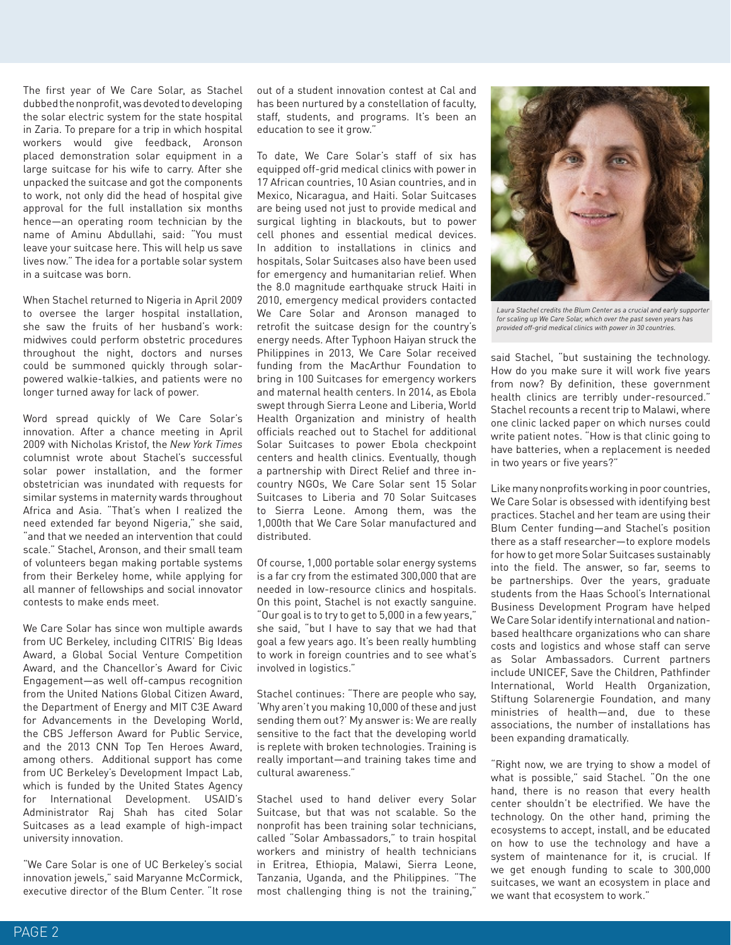The first year of We Care Solar, as Stachel dubbed the nonprofit, was devoted to developing the solar electric system for the state hospital in Zaria. To prepare for a trip in which hospital workers would give feedback, Aronson placed demonstration solar equipment in a large suitcase for his wife to carry. After she unpacked the suitcase and got the components to work, not only did the head of hospital give approval for the full installation six months hence—an operating room technician by the name of Aminu Abdullahi, said: "You must leave your suitcase here. This will help us save lives now." The idea for a portable solar system in a suitcase was born.

When Stachel returned to Nigeria in April 2009 to oversee the larger hospital installation, she saw the fruits of her husband's work: midwives could perform obstetric procedures throughout the night, doctors and nurses could be summoned quickly through solarpowered walkie-talkies, and patients were no longer turned away for lack of power.

Word spread quickly of We Care Solar's innovation. After a chance meeting in April 2009 with Nicholas Kristof, the *New York Times*  columnist wrote about Stachel's successful solar power installation, and the former obstetrician was inundated with requests for similar systems in maternity wards throughout Africa and Asia. "That's when I realized the need extended far beyond Nigeria," she said, "and that we needed an intervention that could scale." Stachel, Aronson, and their small team of volunteers began making portable systems from their Berkeley home, while applying for all manner of fellowships and social innovator contests to make ends meet.

We Care Solar has since won multiple awards from UC Berkeley, including CITRIS' Big Ideas Award, a Global Social Venture Competition Award, and the Chancellor's Award for Civic Engagement—as well off-campus recognition from the United Nations Global Citizen Award, the Department of Energy and MIT C3E Award for Advancements in the Developing World, the CBS Jefferson Award for Public Service, and the 2013 CNN Top Ten Heroes Award, among others. Additional support has come from UC Berkeley's Development Impact Lab, which is funded by the United States Agency for International Development. USAID's Administrator Raj Shah has cited Solar Suitcases as a lead example of high-impact university innovation.

"We Care Solar is one of UC Berkeley's social innovation jewels," said Maryanne McCormick, executive director of the Blum Center. "It rose

out of a student innovation contest at Cal and has been nurtured by a constellation of faculty, staff, students, and programs. It's been an education to see it grow."

To date, We Care Solar's staff of six has equipped off-grid medical clinics with power in 17 African countries, 10 Asian countries, and in Mexico, Nicaragua, and Haiti. Solar Suitcases are being used not just to provide medical and surgical lighting in blackouts, but to power cell phones and essential medical devices. In addition to installations in clinics and hospitals, Solar Suitcases also have been used for emergency and humanitarian relief. When the 8.0 magnitude earthquake struck Haiti in 2010, emergency medical providers contacted We Care Solar and Aronson managed to retrofit the suitcase design for the country's energy needs. After Typhoon Haiyan struck the Philippines in 2013, We Care Solar received funding from the MacArthur Foundation to bring in 100 Suitcases for emergency workers and maternal health centers. In 2014, as Ebola swept through Sierra Leone and Liberia, World Health Organization and ministry of health officials reached out to Stachel for additional Solar Suitcases to power Ebola checkpoint centers and health clinics. Eventually, though a partnership with Direct Relief and three incountry NGOs, We Care Solar sent 15 Solar Suitcases to Liberia and 70 Solar Suitcases to Sierra Leone. Among them, was the 1,000th that We Care Solar manufactured and distributed.

Of course, 1,000 portable solar energy systems is a far cry from the estimated 300,000 that are needed in low-resource clinics and hospitals. On this point, Stachel is not exactly sanguine. "Our goal is to try to get to 5,000 in a few years," she said, "but I have to say that we had that goal a few years ago. It's been really humbling to work in foreign countries and to see what's involved in logistics."

Stachel continues: "There are people who say, 'Why aren't you making 10,000 of these and just sending them out?' My answer is: We are really sensitive to the fact that the developing world is replete with broken technologies. Training is really important—and training takes time and cultural awareness."

Stachel used to hand deliver every Solar Suitcase, but that was not scalable. So the nonprofit has been training solar technicians, called "Solar Ambassadors," to train hospital workers and ministry of health technicians in Eritrea, Ethiopia, Malawi, Sierra Leone, Tanzania, Uganda, and the Philippines. "The most challenging thing is not the training,"



*Laura Stachel credits the Blum Center as a crucial and early supporter for scaling up We Care Solar, which over the past seven years has provided off-grid medical clinics with power in 30 countries.*

said Stachel, "but sustaining the technology. How do you make sure it will work five years from now? By definition, these government health clinics are terribly under-resourced." Stachel recounts a recent trip to Malawi, where one clinic lacked paper on which nurses could write patient notes. "How is that clinic going to have batteries, when a replacement is needed in two years or five years?"

Like many nonprofits working in poor countries, We Care Solar is obsessed with identifying best practices. Stachel and her team are using their Blum Center funding—and Stachel's position there as a staff researcher—to explore models for how to get more Solar Suitcases sustainably into the field. The answer, so far, seems to be partnerships. Over the years, graduate students from the Haas School's International Business Development Program have helped We Care Solar identify international and nationbased healthcare organizations who can share costs and logistics and whose staff can serve as Solar Ambassadors. Current partners include UNICEF, Save the Children, Pathfinder International, World Health Organization, Stiftung Solarenergie Foundation, and many ministries of health—and, due to these associations, the number of installations has been expanding dramatically.

"Right now, we are trying to show a model of what is possible," said Stachel. "On the one hand, there is no reason that every health center shouldn't be electrified. We have the technology. On the other hand, priming the ecosystems to accept, install, and be educated on how to use the technology and have a system of maintenance for it, is crucial. If we get enough funding to scale to 300,000 suitcases, we want an ecosystem in place and we want that ecosystem to work."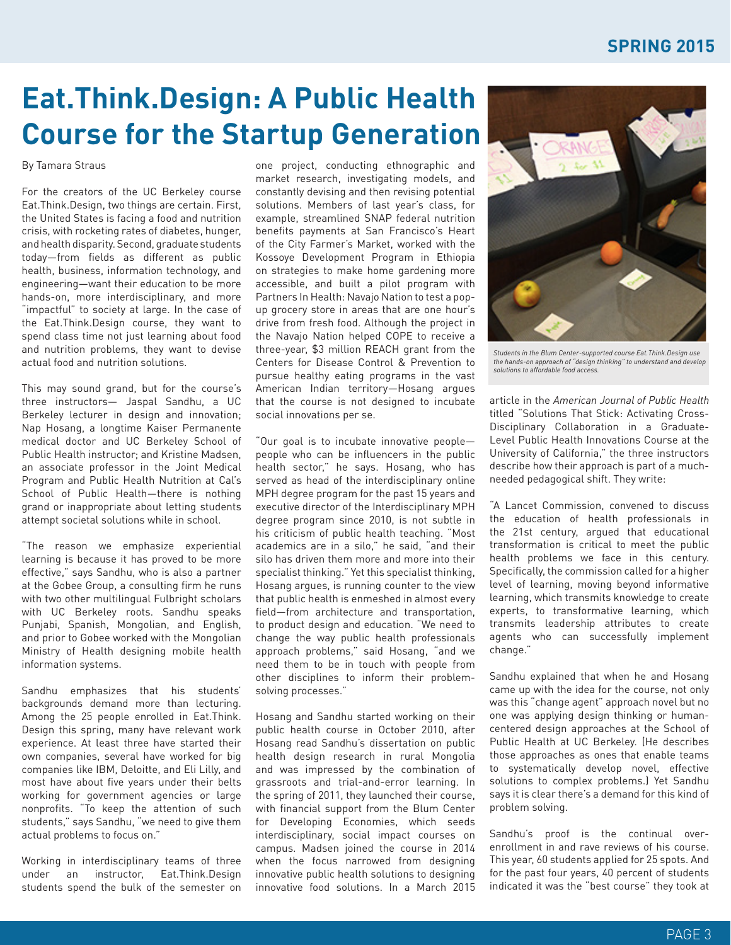## **Eat.Think.Design: A Public Health Course for the Startup Generation**

By Tamara Straus

For the creators of the UC Berkeley course Eat.Think.Design, two things are certain. First, the United States is facing a food and nutrition crisis, with rocketing rates of diabetes, hunger, and health disparity. Second, graduate students today—from fields as different as public health, business, information technology, and engineering—want their education to be more hands-on, more interdisciplinary, and more "impactful" to society at large. In the case of the Eat.Think.Design course, they want to spend class time not just learning about food and nutrition problems, they want to devise actual food and nutrition solutions.

This may sound grand, but for the course's three instructors— Jaspal Sandhu, a UC Berkeley lecturer in design and innovation; Nap Hosang, a longtime Kaiser Permanente medical doctor and UC Berkeley School of Public Health instructor; and Kristine Madsen, an associate professor in the Joint Medical Program and Public Health Nutrition at Cal's School of Public Health—there is nothing grand or inappropriate about letting students attempt societal solutions while in school.

"The reason we emphasize experiential learning is because it has proved to be more effective," says Sandhu, who is also a partner at the Gobee Group, a consulting firm he runs with two other multilingual Fulbright scholars with UC Berkeley roots. Sandhu speaks Punjabi, Spanish, Mongolian, and English, and prior to Gobee worked with the Mongolian Ministry of Health designing mobile health information systems.

Sandhu emphasizes that his students' backgrounds demand more than lecturing. Among the 25 people enrolled in Eat.Think. Design this spring, many have relevant work experience. At least three have started their own companies, several have worked for big companies like IBM, Deloitte, and Eli Lilly, and most have about five years under their belts working for government agencies or large nonprofits. "To keep the attention of such students," says Sandhu, "we need to give them actual problems to focus on."

Working in interdisciplinary teams of three under an instructor, Eat.Think.Design students spend the bulk of the semester on one project, conducting ethnographic and market research, investigating models, and constantly devising and then revising potential solutions. Members of last year's class, for example, streamlined SNAP federal nutrition benefits payments at San Francisco's Heart of the City Farmer's Market, worked with the Kossoye Development Program in Ethiopia on strategies to make home gardening more accessible, and built a pilot program with Partners In Health: Navajo Nation to test a popup grocery store in areas that are one hour's drive from fresh food. Although the project in the Navajo Nation helped COPE to receive a three-year, \$3 million REACH grant from the Centers for Disease Control & Prevention to pursue healthy eating programs in the vast American Indian territory—Hosang argues that the course is not designed to incubate social innovations per se.

"Our goal is to incubate innovative people people who can be influencers in the public health sector," he says. Hosang, who has served as head of the interdisciplinary online MPH degree program for the past 15 years and executive director of the Interdisciplinary MPH degree program since 2010, is not subtle in his criticism of public health teaching. "Most academics are in a silo," he said, "and their silo has driven them more and more into their specialist thinking." Yet this specialist thinking, Hosang argues, is running counter to the view that public health is enmeshed in almost every field—from architecture and transportation, to product design and education. "We need to change the way public health professionals approach problems," said Hosang, "and we need them to be in touch with people from other disciplines to inform their problemsolving processes."

Hosang and Sandhu started working on their public health course in October 2010, after Hosang read Sandhu's dissertation on public health design research in rural Mongolia and was impressed by the combination of grassroots and trial-and-error learning. In the spring of 2011, they launched their course, with financial support from the Blum Center for Developing Economies, which seeds interdisciplinary, social impact courses on campus. Madsen joined the course in 2014 when the focus narrowed from designing innovative public health solutions to designing innovative food solutions. In a March 2015



*Students in the Blum Center-supported course Eat.Think.Design use the hands-on approach of "design thinking" to understand and develop solutions to affordable food access.*

article in the *American Journal of Public Health* titled "Solutions That Stick: Activating Cross-Disciplinary Collaboration in a Graduate-Level Public Health Innovations Course at the University of California," the three instructors describe how their approach is part of a muchneeded pedagogical shift. They write:

"A Lancet Commission, convened to discuss the education of health professionals in the 21st century, argued that educational transformation is critical to meet the public health problems we face in this century. Specifically, the commission called for a higher level of learning, moving beyond informative learning, which transmits knowledge to create experts, to transformative learning, which transmits leadership attributes to create agents who can successfully implement change."

Sandhu explained that when he and Hosang came up with the idea for the course, not only was this "change agent" approach novel but no one was applying design thinking or humancentered design approaches at the School of Public Health at UC Berkeley. (He describes those approaches as ones that enable teams to systematically develop novel, effective solutions to complex problems.) Yet Sandhu says it is clear there's a demand for this kind of problem solving.

Sandhu's proof is the continual overenrollment in and rave reviews of his course. This year, 60 students applied for 25 spots. And for the past four years, 40 percent of students indicated it was the "best course" they took at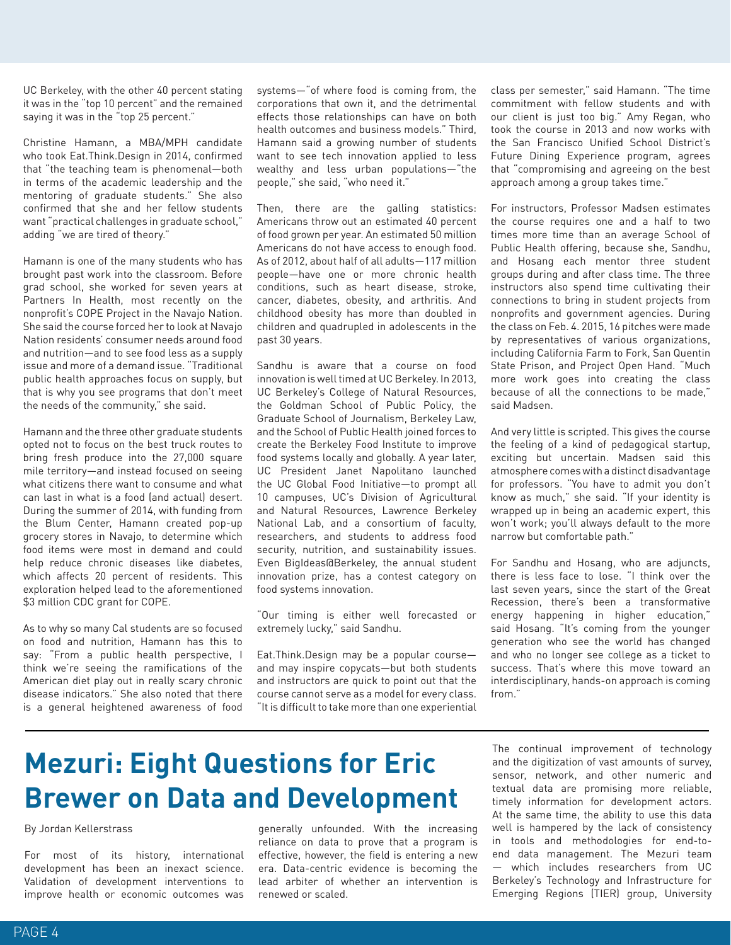UC Berkeley, with the other 40 percent stating it was in the "top 10 percent" and the remained saying it was in the "top 25 percent."

Christine Hamann, a MBA/MPH candidate who took Eat.Think.Design in 2014, confirmed that "the teaching team is phenomenal—both in terms of the academic leadership and the mentoring of graduate students." She also confirmed that she and her fellow students want "practical challenges in graduate school," adding "we are tired of theory."

Hamann is one of the many students who has brought past work into the classroom. Before grad school, she worked for seven years at Partners In Health, most recently on the nonprofit's COPE Project in the Navajo Nation. She said the course forced her to look at Navajo Nation residents' consumer needs around food and nutrition—and to see food less as a supply issue and more of a demand issue. "Traditional public health approaches focus on supply, but that is why you see programs that don't meet the needs of the community," she said.

Hamann and the three other graduate students opted not to focus on the best truck routes to bring fresh produce into the 27,000 square mile territory—and instead focused on seeing what citizens there want to consume and what can last in what is a food (and actual) desert. During the summer of 2014, with funding from the Blum Center, Hamann created pop-up grocery stores in Navajo, to determine which food items were most in demand and could help reduce chronic diseases like diabetes, which affects 20 percent of residents. This exploration helped lead to the aforementioned \$3 million CDC grant for COPE.

As to why so many Cal students are so focused on food and nutrition, Hamann has this to say: "From a public health perspective, I think we're seeing the ramifications of the American diet play out in really scary chronic disease indicators." She also noted that there is a general heightened awareness of food systems—"of where food is coming from, the corporations that own it, and the detrimental effects those relationships can have on both health outcomes and business models." Third, Hamann said a growing number of students want to see tech innovation applied to less wealthy and less urban populations—"the people," she said, "who need it."

Then, there are the galling statistics: Americans throw out an estimated 40 percent of food grown per year. An estimated 50 million Americans do not have access to enough food. As of 2012, about half of all adults—117 million people—have one or more chronic health conditions, such as heart disease, stroke, cancer, diabetes, obesity, and arthritis. And childhood obesity has more than doubled in children and quadrupled in adolescents in the past 30 years.

Sandhu is aware that a course on food innovation is well timed at UC Berkeley. In 2013, UC Berkeley's College of Natural Resources, the Goldman School of Public Policy, the Graduate School of Journalism, Berkeley Law, and the School of Public Health joined forces to create the Berkeley Food Institute to improve food systems locally and globally. A year later, UC President Janet Napolitano launched the UC Global Food Initiative—to prompt all 10 campuses, UC's Division of Agricultural and Natural Resources, Lawrence Berkeley National Lab, and a consortium of faculty, researchers, and students to address food security, nutrition, and sustainability issues. Even BigIdeas@Berkeley, the annual student innovation prize, has a contest category on food systems innovation.

"Our timing is either well forecasted or extremely lucky," said Sandhu.

Eat.Think.Design may be a popular course and may inspire copycats—but both students and instructors are quick to point out that the course cannot serve as a model for every class. "It is difficult to take more than one experiential class per semester," said Hamann. "The time commitment with fellow students and with our client is just too big." Amy Regan, who took the course in 2013 and now works with the San Francisco Unified School District's Future Dining Experience program, agrees that "compromising and agreeing on the best approach among a group takes time."

For instructors, Professor Madsen estimates the course requires one and a half to two times more time than an average School of Public Health offering, because she, Sandhu, and Hosang each mentor three student groups during and after class time. The three instructors also spend time cultivating their connections to bring in student projects from nonprofits and government agencies. During the class on Feb. 4. 2015, 16 pitches were made by representatives of various organizations, including California Farm to Fork, San Quentin State Prison, and Project Open Hand. "Much more work goes into creating the class because of all the connections to be made," said Madsen.

And very little is scripted. This gives the course the feeling of a kind of pedagogical startup, exciting but uncertain. Madsen said this atmosphere comes with a distinct disadvantage for professors. "You have to admit you don't know as much," she said. "If your identity is wrapped up in being an academic expert, this won't work; you'll always default to the more narrow but comfortable path."

For Sandhu and Hosang, who are adjuncts, there is less face to lose. "I think over the last seven years, since the start of the Great Recession, there's been a transformative energy happening in higher education," said Hosang. "It's coming from the younger generation who see the world has changed and who no longer see college as a ticket to success. That's where this move toward an interdisciplinary, hands-on approach is coming from."

## **Mezuri: Eight Questions for Eric Brewer on Data and Development**

#### By Jordan Kellerstrass

For most of its history, international development has been an inexact science. Validation of development interventions to improve health or economic outcomes was

generally unfounded. With the increasing reliance on data to prove that a program is effective, however, the field is entering a new era. Data-centric evidence is becoming the lead arbiter of whether an intervention is renewed or scaled.

The continual improvement of technology and the digitization of vast amounts of survey, sensor, network, and other numeric and textual data are promising more reliable, timely information for development actors. At the same time, the ability to use this data well is hampered by the lack of consistency in tools and methodologies for end-toend data management. The Mezuri team — which includes researchers from UC Berkeley's Technology and Infrastructure for Emerging Regions (TIER) group, University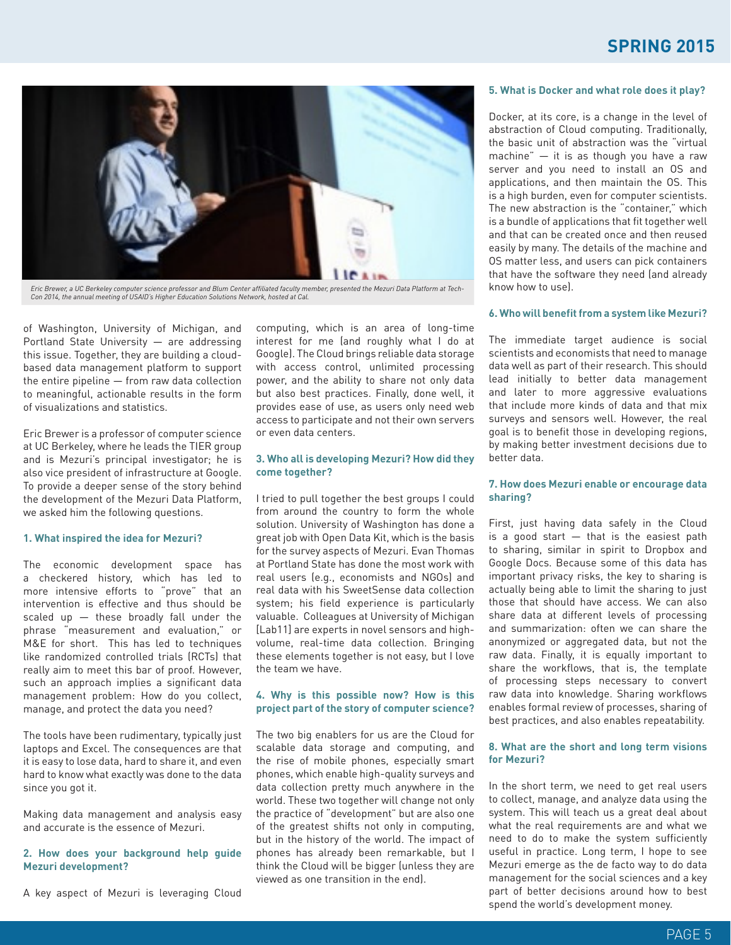### **SPRING 2015**



*Eric Brewer, a UC Berkeley computer science professor and Blum Center affiliated faculty member, presented the Mezuri Data Platform at Tech-Con 2014, the annual meeting of USAID's Higher Education Solutions Network, hosted at Cal.*

of Washington, University of Michigan, and Portland State University — are addressing this issue. Together, they are building a cloudbased data management platform to support the entire pipeline — from raw data collection to meaningful, actionable results in the form of visualizations and statistics.

Eric Brewer is a professor of computer science at UC Berkeley, where he leads the TIER group and is Mezuri's principal investigator; he is also vice president of infrastructure at Google. To provide a deeper sense of the story behind the development of the Mezuri Data Platform, we asked him the following questions.

#### **1. What inspired the idea for Mezuri?**

The economic development space has a checkered history, which has led to more intensive efforts to "prove" that an intervention is effective and thus should be scaled up — these broadly fall under the phrase "measurement and evaluation," or M&E for short. This has led to techniques like randomized controlled trials (RCTs) that really aim to meet this bar of proof. However, such an approach implies a significant data management problem: How do you collect, manage, and protect the data you need?

The tools have been rudimentary, typically just laptops and Excel. The consequences are that it is easy to lose data, hard to share it, and even hard to know what exactly was done to the data since you got it.

Making data management and analysis easy and accurate is the essence of Mezuri.

#### **2. How does your background help guide Mezuri development?**

A key aspect of Mezuri is leveraging Cloud

computing, which is an area of long-time interest for me (and roughly what I do at Google). The Cloud brings reliable data storage with access control, unlimited processing power, and the ability to share not only data but also best practices. Finally, done well, it provides ease of use, as users only need web access to participate and not their own servers or even data centers.

#### **3. Who all is developing Mezuri? How did they come together?**

I tried to pull together the best groups I could from around the country to form the whole solution. University of Washington has done a great job with Open Data Kit, which is the basis for the survey aspects of Mezuri. Evan Thomas at Portland State has done the most work with real users (e.g., economists and NGOs) and real data with his SweetSense data collection system; his field experience is particularly valuable. Colleagues at University of Michigan [Lab11] are experts in novel sensors and highvolume, real-time data collection. Bringing these elements together is not easy, but I love the team we have.

#### **4. Why is this possible now? How is this project part of the story of computer science?**

The two big enablers for us are the Cloud for scalable data storage and computing, and the rise of mobile phones, especially smart phones, which enable high-quality surveys and data collection pretty much anywhere in the world. These two together will change not only the practice of "development" but are also one of the greatest shifts not only in computing, but in the history of the world. The impact of phones has already been remarkable, but I think the Cloud will be bigger (unless they are viewed as one transition in the end).

#### **5. What is Docker and what role does it play?**

Docker, at its core, is a change in the level of abstraction of Cloud computing. Traditionally, the basic unit of abstraction was the "virtual machine" — it is as though you have a raw server and you need to install an OS and applications, and then maintain the OS. This is a high burden, even for computer scientists. The new abstraction is the "container," which is a bundle of applications that fit together well and that can be created once and then reused easily by many. The details of the machine and OS matter less, and users can pick containers that have the software they need (and already know how to use).

#### **6. Who will benefit from a system like Mezuri?**

The immediate target audience is social scientists and economists that need to manage data well as part of their research. This should lead initially to better data management and later to more aggressive evaluations that include more kinds of data and that mix surveys and sensors well. However, the real goal is to benefit those in developing regions, by making better investment decisions due to better data.

#### **7. How does Mezuri enable or encourage data sharing?**

First, just having data safely in the Cloud is a good start  $-$  that is the easiest path to sharing, similar in spirit to Dropbox and Google Docs. Because some of this data has important privacy risks, the key to sharing is actually being able to limit the sharing to just those that should have access. We can also share data at different levels of processing and summarization: often we can share the anonymized or aggregated data, but not the raw data. Finally, it is equally important to share the workflows, that is, the template of processing steps necessary to convert raw data into knowledge. Sharing workflows enables formal review of processes, sharing of best practices, and also enables repeatability.

#### **8. What are the short and long term visions for Mezuri?**

In the short term, we need to get real users to collect, manage, and analyze data using the system. This will teach us a great deal about what the real requirements are and what we need to do to make the system sufficiently useful in practice. Long term, I hope to see Mezuri emerge as the de facto way to do data management for the social sciences and a key part of better decisions around how to best spend the world's development money.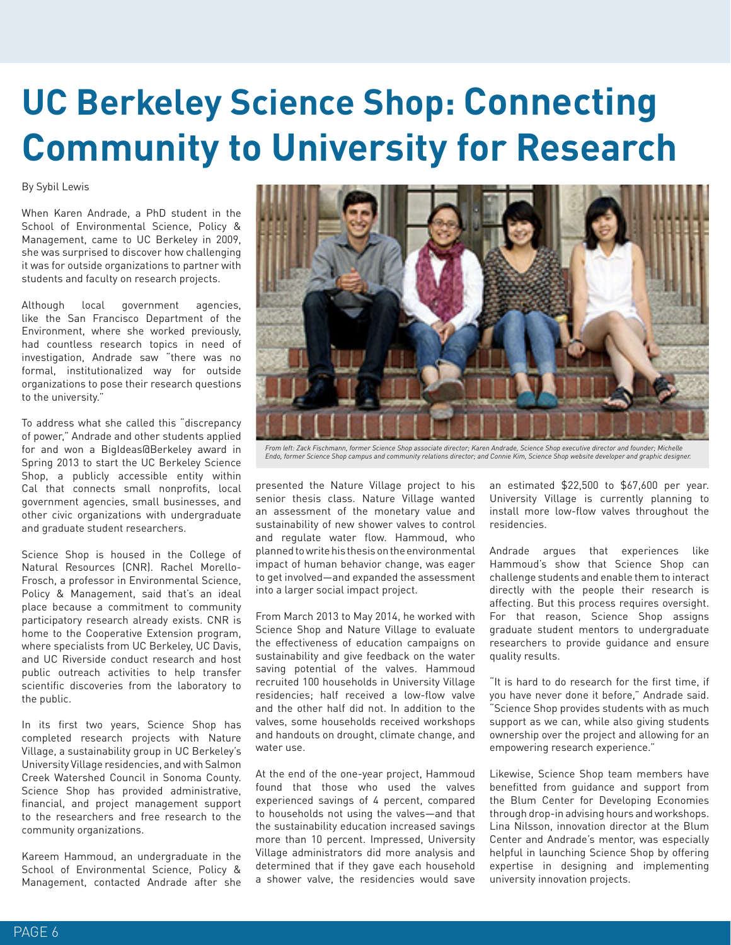# **UC Berkeley Science Shop: Connecting Community to University for Research**

By Sybil Lewis

When Karen Andrade, a PhD student in the School of Environmental Science, Policy & Management, came to UC Berkeley in 2009, she was surprised to discover how challenging it was for outside organizations to partner with students and faculty on research projects.

Although local government agencies, like the San Francisco Department of the Environment, where she worked previously, had countless research topics in need of investigation, Andrade saw "there was no formal, institutionalized way for outside organizations to pose their research questions to the university."

To address what she called this "discrepancy of power," Andrade and other students applied for and won a BigIdeas@Berkeley award in Spring 2013 to start the UC Berkeley Science Shop, a publicly accessible entity within Cal that connects small nonprofits, local government agencies, small businesses, and other civic organizations with undergraduate and graduate student researchers.

Science Shop is housed in the College of Natural Resources (CNR). Rachel Morello-Frosch, a professor in Environmental Science, Policy & Management, said that's an ideal place because a commitment to community participatory research already exists. CNR is home to the Cooperative Extension program, where specialists from UC Berkeley, UC Davis, and UC Riverside conduct research and host public outreach activities to help transfer scientific discoveries from the laboratory to the public.

In its first two years, Science Shop has completed research projects with Nature Village, a sustainability group in UC Berkeley's University Village residencies, and with Salmon Creek Watershed Council in Sonoma County. Science Shop has provided administrative, financial, and project management support to the researchers and free research to the community organizations.

Kareem Hammoud, an undergraduate in the School of Environmental Science, Policy & Management, contacted Andrade after she



*From left: Zack Fischmann, former Science Shop associate director; Karen Andrade, Science Shop executive director and founder; Michelle Endo, former Science Shop campus and community relations director; and Connie Kim, Science Shop website developer and graphic designer.*

presented the Nature Village project to his senior thesis class. Nature Village wanted an assessment of the monetary value and sustainability of new shower valves to control and regulate water flow. Hammoud, who planned to write his thesis on the environmental impact of human behavior change, was eager to get involved—and expanded the assessment into a larger social impact project.

From March 2013 to May 2014, he worked with Science Shop and Nature Village to evaluate the effectiveness of education campaigns on sustainability and give feedback on the water saving potential of the valves. Hammoud recruited 100 households in University Village residencies; half received a low-flow valve and the other half did not. In addition to the valves, some households received workshops and handouts on drought, climate change, and water use.

At the end of the one-year project, Hammoud found that those who used the valves experienced savings of 4 percent, compared to households not using the valves—and that the sustainability education increased savings more than 10 percent. Impressed, University Village administrators did more analysis and determined that if they gave each household a shower valve, the residencies would save

an estimated \$22,500 to \$67,600 per year. University Village is currently planning to install more low-flow valves throughout the residencies.

Andrade argues that experiences like Hammoud's show that Science Shop can challenge students and enable them to interact directly with the people their research is affecting. But this process requires oversight. For that reason, Science Shop assigns graduate student mentors to undergraduate researchers to provide guidance and ensure quality results.

"It is hard to do research for the first time, if you have never done it before," Andrade said. "Science Shop provides students with as much support as we can, while also giving students ownership over the project and allowing for an empowering research experience."

Likewise, Science Shop team members have benefitted from guidance and support from the Blum Center for Developing Economies through drop-in advising hours and workshops. Lina Nilsson, innovation director at the Blum Center and Andrade's mentor, was especially helpful in launching Science Shop by offering expertise in designing and implementing university innovation projects.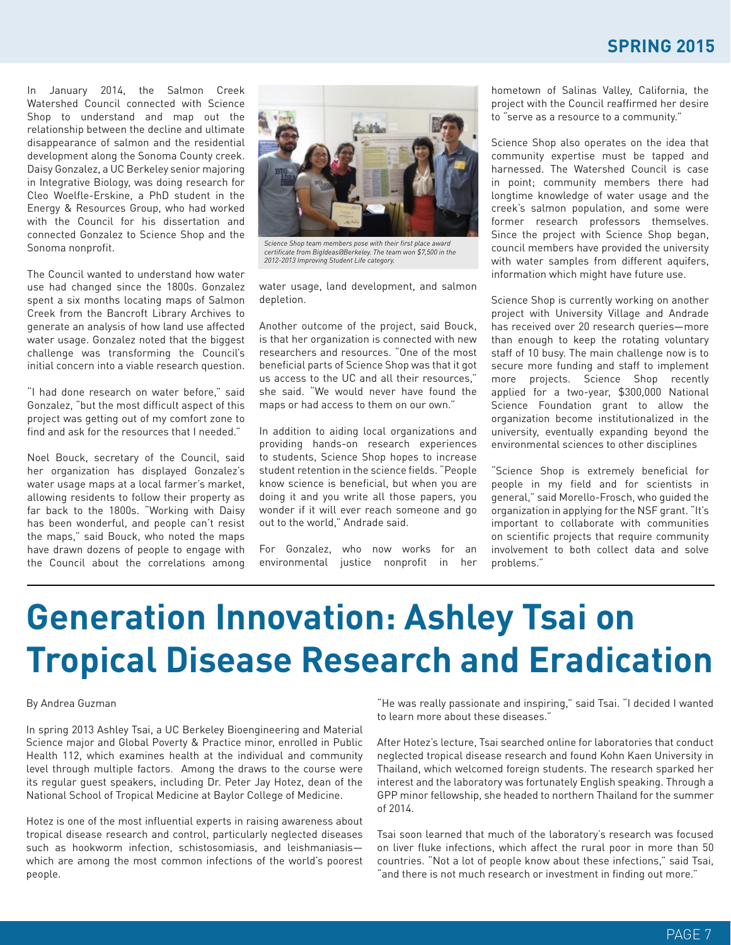### **SPRING 2015**

In January 2014, the Salmon Creek Watershed Council connected with Science Shop to understand and map out the relationship between the decline and ultimate disappearance of salmon and the residential development along the Sonoma County creek. Daisy Gonzalez, a UC Berkeley senior majoring in Integrative Biology, was doing research for Cleo Woelfle-Erskine, a PhD student in the Energy & Resources Group, who had worked with the Council for his dissertation and connected Gonzalez to Science Shop and the Sonoma nonprofit.

The Council wanted to understand how water use had changed since the 1800s. Gonzalez spent a six months locating maps of Salmon Creek from the Bancroft Library Archives to generate an analysis of how land use affected water usage. Gonzalez noted that the biggest challenge was transforming the Council's initial concern into a viable research question.

"I had done research on water before," said Gonzalez, "but the most difficult aspect of this project was getting out of my comfort zone to find and ask for the resources that I needed."

Noel Bouck, secretary of the Council, said her organization has displayed Gonzalez's water usage maps at a local farmer's market, allowing residents to follow their property as far back to the 1800s. "Working with Daisy has been wonderful, and people can't resist the maps," said Bouck, who noted the maps have drawn dozens of people to engage with the Council about the correlations among



*certificate from BigIdeas@Berkeley. The team won \$7,500 in the 2012-2013 Improving Student Life category.*

water usage, land development, and salmon depletion.

Another outcome of the project, said Bouck, is that her organization is connected with new researchers and resources. "One of the most beneficial parts of Science Shop was that it got us access to the UC and all their resources," she said. "We would never have found the maps or had access to them on our own."

In addition to aiding local organizations and providing hands-on research experiences to students, Science Shop hopes to increase student retention in the science fields. "People know science is beneficial, but when you are doing it and you write all those papers, you wonder if it will ever reach someone and go out to the world," Andrade said.

For Gonzalez, who now works for an environmental justice nonprofit in her

hometown of Salinas Valley, California, the project with the Council reaffirmed her desire to "serve as a resource to a community."

Science Shop also operates on the idea that community expertise must be tapped and harnessed. The Watershed Council is case in point; community members there had longtime knowledge of water usage and the creek's salmon population, and some were former research professors themselves. Since the project with Science Shop began, council members have provided the university with water samples from different aquifers, information which might have future use.

Science Shop is currently working on another project with University Village and Andrade has received over 20 research queries—more than enough to keep the rotating voluntary staff of 10 busy. The main challenge now is to secure more funding and staff to implement more projects. Science Shop recently applied for a two-year, \$300,000 National Science Foundation grant to allow the organization become institutionalized in the university, eventually expanding beyond the environmental sciences to other disciplines

"Science Shop is extremely beneficial for people in my field and for scientists in general," said Morello-Frosch, who guided the organization in applying for the NSF grant. "It's important to collaborate with communities on scientific projects that require community involvement to both collect data and solve problems."

# **Generation Innovation: Ashley Tsai on Tropical Disease Research and Eradication**

#### By Andrea Guzman

In spring 2013 Ashley Tsai, a UC Berkeley Bioengineering and Material Science major and Global Poverty & Practice minor, enrolled in Public Health 112, which examines health at the individual and community level through multiple factors. Among the draws to the course were its regular guest speakers, including Dr. Peter Jay Hotez, dean of the National School of Tropical Medicine at Baylor College of Medicine.

Hotez is one of the most influential experts in raising awareness about tropical disease research and control, particularly neglected diseases such as hookworm infection, schistosomiasis, and leishmaniasis which are among the most common infections of the world's poorest people.

"He was really passionate and inspiring," said Tsai. "I decided I wanted to learn more about these diseases."

After Hotez's lecture, Tsai searched online for laboratories that conduct neglected tropical disease research and found Kohn Kaen University in Thailand, which welcomed foreign students. The research sparked her interest and the laboratory was fortunately English speaking. Through a GPP minor fellowship, she headed to northern Thailand for the summer of 2014.

Tsai soon learned that much of the laboratory's research was focused on liver fluke infections, which affect the rural poor in more than 50 countries. "Not a lot of people know about these infections," said Tsai, "and there is not much research or investment in finding out more."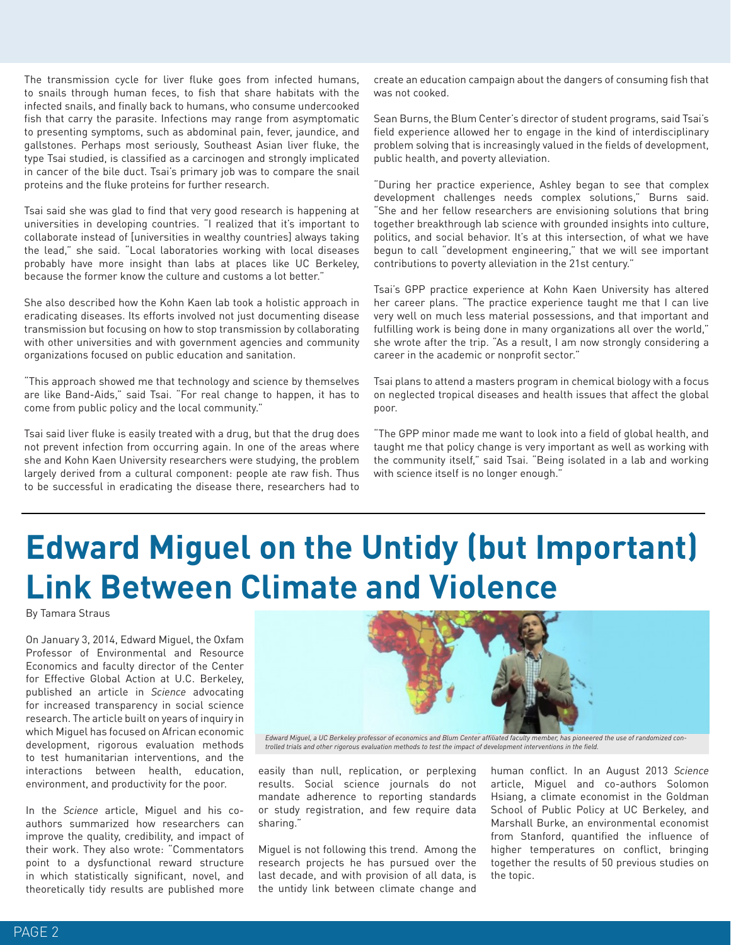The transmission cycle for liver fluke goes from infected humans, to snails through human feces, to fish that share habitats with the infected snails, and finally back to humans, who consume undercooked fish that carry the parasite. Infections may range from asymptomatic to presenting symptoms, such as abdominal pain, fever, jaundice, and gallstones. Perhaps most seriously, Southeast Asian liver fluke, the type Tsai studied, is classified as a carcinogen and strongly implicated in cancer of the bile duct. Tsai's primary job was to compare the snail proteins and the fluke proteins for further research.

Tsai said she was glad to find that very good research is happening at universities in developing countries. "I realized that it's important to collaborate instead of [universities in wealthy countries] always taking the lead," she said. "Local laboratories working with local diseases probably have more insight than labs at places like UC Berkeley, because the former know the culture and customs a lot better."

She also described how the Kohn Kaen lab took a holistic approach in eradicating diseases. Its efforts involved not just documenting disease transmission but focusing on how to stop transmission by collaborating with other universities and with government agencies and community organizations focused on public education and sanitation.

"This approach showed me that technology and science by themselves are like Band-Aids," said Tsai. "For real change to happen, it has to come from public policy and the local community."

Tsai said liver fluke is easily treated with a drug, but that the drug does not prevent infection from occurring again. In one of the areas where she and Kohn Kaen University researchers were studying, the problem largely derived from a cultural component: people ate raw fish. Thus to be successful in eradicating the disease there, researchers had to create an education campaign about the dangers of consuming fish that was not cooked.

Sean Burns, the Blum Center's director of student programs, said Tsai's field experience allowed her to engage in the kind of interdisciplinary problem solving that is increasingly valued in the fields of development, public health, and poverty alleviation.

"During her practice experience, Ashley began to see that complex development challenges needs complex solutions," Burns said. "She and her fellow researchers are envisioning solutions that bring together breakthrough lab science with grounded insights into culture, politics, and social behavior. It's at this intersection, of what we have begun to call "development engineering," that we will see important contributions to poverty alleviation in the 21st century."

Tsai's GPP practice experience at Kohn Kaen University has altered her career plans. "The practice experience taught me that I can live very well on much less material possessions, and that important and fulfilling work is being done in many organizations all over the world," she wrote after the trip. "As a result, I am now strongly considering a career in the academic or nonprofit sector."

Tsai plans to attend a masters program in chemical biology with a focus on neglected tropical diseases and health issues that affect the global poor.

"The GPP minor made me want to look into a field of global health, and taught me that policy change is very important as well as working with the community itself," said Tsai. "Being isolated in a lab and working with science itself is no longer enough."

# **Edward Miguel on the Untidy (but Important) Link Between Climate and Violence**

By Tamara Straus

On January 3, 2014, Edward Miguel, the Oxfam Professor of Environmental and Resource Economics and faculty director of the Center for Effective Global Action at U.C. Berkeley, published an article in *Science* advocating for increased transparency in social science research. The article built on years of inquiry in which Miguel has focused on African economic development, rigorous evaluation methods to test humanitarian interventions, and the interactions between health, education, environment, and productivity for the poor.

In the *Science* article, Miguel and his coauthors summarized how researchers can improve the quality, credibility, and impact of their work. They also wrote: "Commentators point to a dysfunctional reward structure in which statistically significant, novel, and theoretically tidy results are published more



easily than null, replication, or perplexing results. Social science journals do not mandate adherence to reporting standards or study registration, and few require data sharing."

Miguel is not following this trend. Among the research projects he has pursued over the last decade, and with provision of all data, is the untidy link between climate change and human conflict. In an August 2013 *Science* article, Miguel and co-authors Solomon Hsiang, a climate economist in the Goldman School of Public Policy at UC Berkeley, and Marshall Burke, an environmental economist from Stanford, quantified the influence of higher temperatures on conflict, bringing together the results of 50 previous studies on the topic.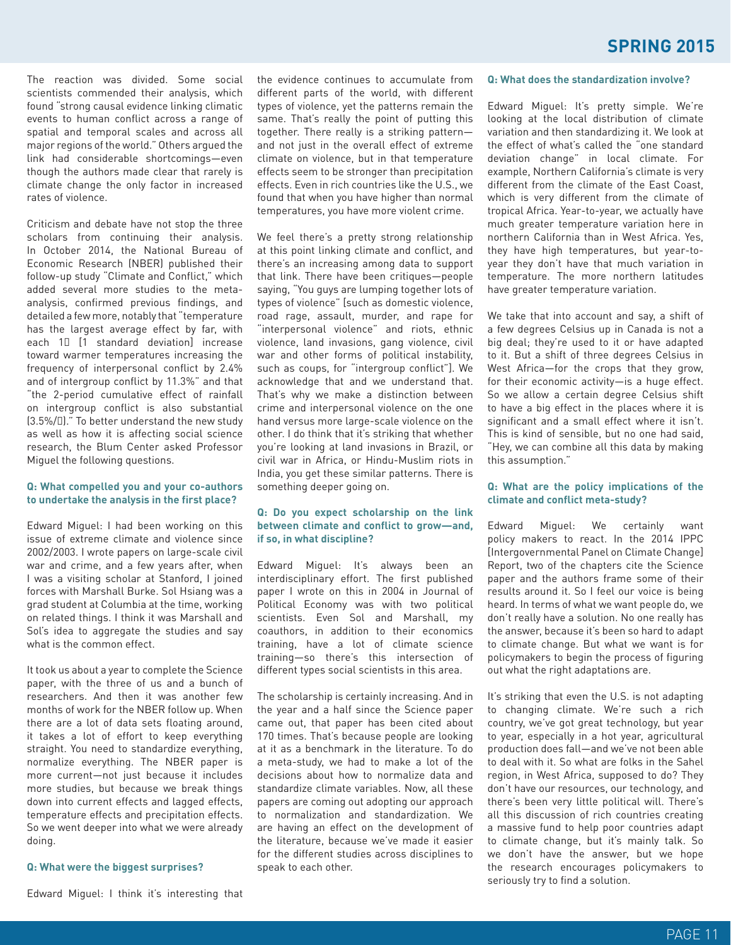The reaction was divided. Some social scientists commended their analysis, which found "strong causal evidence linking climatic events to human conflict across a range of spatial and temporal scales and across all major regions of the world." Others argued the link had considerable shortcomings—even though the authors made clear that rarely is climate change the only factor in increased rates of violence.

Criticism and debate have not stop the three scholars from continuing their analysis. In October 2014, the National Bureau of Economic Research (NBER) published their follow-up study "Climate and Conflict," which added several more studies to the metaanalysis, confirmed previous findings, and detailed a few more, notably that "temperature has the largest average effect by far, with each 1 [1 standard deviation] increase toward warmer temperatures increasing the frequency of interpersonal conflict by 2.4% and of intergroup conflict by 11.3%" and that "the 2-period cumulative effect of rainfall on intergroup conflict is also substantial (3.5%/)." To better understand the new study as well as how it is affecting social science research, the Blum Center asked Professor Miguel the following questions.

#### **Q: What compelled you and your co-authors to undertake the analysis in the first place?**

Edward Miguel: I had been working on this issue of extreme climate and violence since 2002/2003. I wrote papers on large-scale civil war and crime, and a few years after, when I was a visiting scholar at Stanford, I joined forces with Marshall Burke. Sol Hsiang was a grad student at Columbia at the time, working on related things. I think it was Marshall and Sol's idea to aggregate the studies and say what is the common effect.

It took us about a year to complete the Science paper, with the three of us and a bunch of researchers. And then it was another few months of work for the NBER follow up. When there are a lot of data sets floating around, it takes a lot of effort to keep everything straight. You need to standardize everything, normalize everything. The NBER paper is more current—not just because it includes more studies, but because we break things down into current effects and lagged effects, temperature effects and precipitation effects. So we went deeper into what we were already doing.

#### **Q: What were the biggest surprises?**

the evidence continues to accumulate from different parts of the world, with different types of violence, yet the patterns remain the same. That's really the point of putting this together. There really is a striking pattern and not just in the overall effect of extreme climate on violence, but in that temperature effects seem to be stronger than precipitation effects. Even in rich countries like the U.S., we found that when you have higher than normal temperatures, you have more violent crime.

We feel there's a pretty strong relationship at this point linking climate and conflict, and there's an increasing among data to support that link. There have been critiques—people saying, "You guys are lumping together lots of types of violence" [such as domestic violence, road rage, assault, murder, and rape for "interpersonal violence" and riots, ethnic violence, land invasions, gang violence, civil war and other forms of political instability, such as coups, for "intergroup conflict"]. We acknowledge that and we understand that. That's why we make a distinction between crime and interpersonal violence on the one hand versus more large-scale violence on the other. I do think that it's striking that whether you're looking at land invasions in Brazil, or civil war in Africa, or Hindu-Muslim riots in India, you get these similar patterns. There is something deeper going on.

#### **Q: Do you expect scholarship on the link between climate and conflict to grow—and, if so, in what discipline?**

Edward Miguel: It's always been an interdisciplinary effort. The first published paper I wrote on this in 2004 in Journal of Political Economy was with two political scientists. Even Sol and Marshall, my coauthors, in addition to their economics training, have a lot of climate science training—so there's this intersection of different types social scientists in this area.

The scholarship is certainly increasing. And in the year and a half since the Science paper came out, that paper has been cited about 170 times. That's because people are looking at it as a benchmark in the literature. To do a meta-study, we had to make a lot of the decisions about how to normalize data and standardize climate variables. Now, all these papers are coming out adopting our approach to normalization and standardization. We are having an effect on the development of the literature, because we've made it easier for the different studies across disciplines to speak to each other.

#### **Q: What does the standardization involve?**

Edward Miguel: It's pretty simple. We're looking at the local distribution of climate variation and then standardizing it. We look at the effect of what's called the "one standard deviation change" in local climate. For example, Northern California's climate is very different from the climate of the East Coast, which is very different from the climate of tropical Africa. Year-to-year, we actually have much greater temperature variation here in northern California than in West Africa. Yes, they have high temperatures, but year-toyear they don't have that much variation in temperature. The more northern latitudes have greater temperature variation.

We take that into account and say, a shift of a few degrees Celsius up in Canada is not a big deal; they're used to it or have adapted to it. But a shift of three degrees Celsius in West Africa—for the crops that they grow, for their economic activity—is a huge effect. So we allow a certain degree Celsius shift to have a big effect in the places where it is significant and a small effect where it isn't. This is kind of sensible, but no one had said, "Hey, we can combine all this data by making this assumption."

#### **Q: What are the policy implications of the climate and conflict meta-study?**

Edward Miguel: We certainly want policy makers to react. In the 2014 IPPC [Intergovernmental Panel on Climate Change] Report, two of the chapters cite the Science paper and the authors frame some of their results around it. So I feel our voice is being heard. In terms of what we want people do, we don't really have a solution. No one really has the answer, because it's been so hard to adapt to climate change. But what we want is for policymakers to begin the process of figuring out what the right adaptations are.

It's striking that even the U.S. is not adapting to changing climate. We're such a rich country, we've got great technology, but year to year, especially in a hot year, agricultural production does fall—and we've not been able to deal with it. So what are folks in the Sahel region, in West Africa, supposed to do? They don't have our resources, our technology, and there's been very little political will. There's all this discussion of rich countries creating a massive fund to help poor countries adapt to climate change, but it's mainly talk. So we don't have the answer, but we hope the research encourages policymakers to seriously try to find a solution.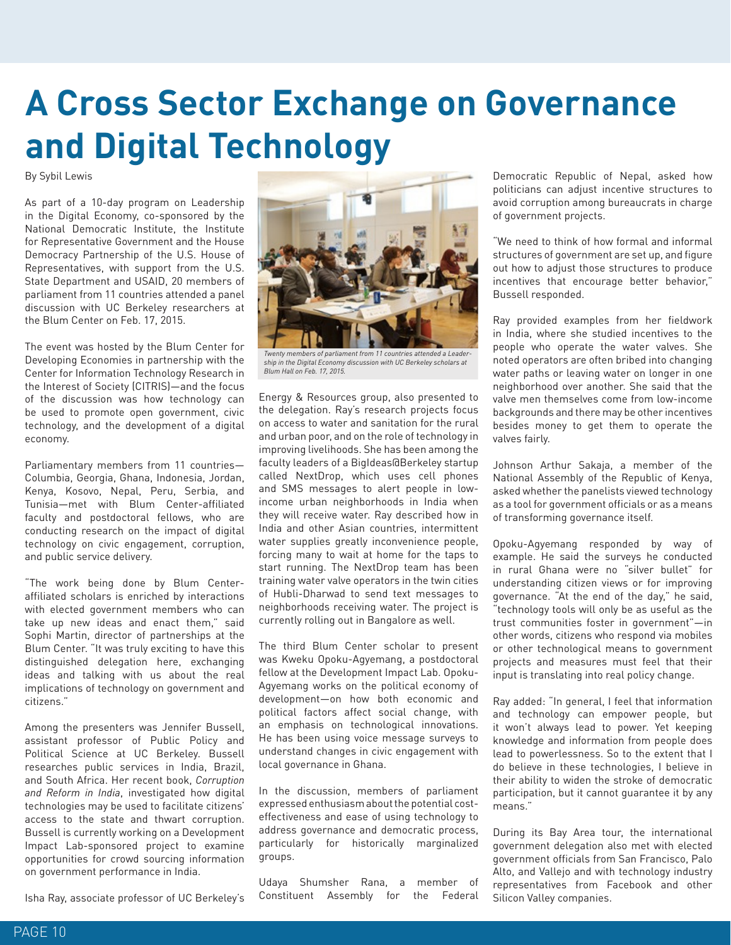# **A Cross Sector Exchange on Governance and Digital Technology**

By Sybil Lewis

As part of a 10-day program on Leadership in the Digital Economy, co-sponsored by the National Democratic Institute, the Institute for Representative Government and the House Democracy Partnership of the U.S. House of Representatives, with support from the U.S. State Department and USAID, 20 members of parliament from 11 countries attended a panel discussion with UC Berkeley researchers at the Blum Center on Feb. 17, 2015.

The event was hosted by the Blum Center for Developing Economies in partnership with the Center for Information Technology Research in the Interest of Society (CITRIS)—and the focus of the discussion was how technology can be used to promote open government, civic technology, and the development of a digital economy.

Parliamentary members from 11 countries— Columbia, Georgia, Ghana, Indonesia, Jordan, Kenya, Kosovo, Nepal, Peru, Serbia, and Tunisia—met with Blum Center-affiliated faculty and postdoctoral fellows, who are conducting research on the impact of digital technology on civic engagement, corruption, and public service delivery.

"The work being done by Blum Centeraffiliated scholars is enriched by interactions with elected government members who can take up new ideas and enact them," said Sophi Martin, director of partnerships at the Blum Center. "It was truly exciting to have this distinguished delegation here, exchanging ideas and talking with us about the real implications of technology on government and citizens."

Among the presenters was Jennifer Bussell, assistant professor of Public Policy and Political Science at UC Berkeley. Bussell researches public services in India, Brazil, and South Africa. Her recent book, *Corruption and Reform in India*, investigated how digital technologies may be used to facilitate citizens' access to the state and thwart corruption. Bussell is currently working on a Development Impact Lab-sponsored project to examine opportunities for crowd sourcing information on government performance in India.



*Twenty members of parliament from 11 countries attended a Leadership in the Digital Economy discussion with UC Berkeley scholars at Blum Hall on Feb. 17, 2015.*

Energy & Resources group, also presented to the delegation. Ray's research projects focus on access to water and sanitation for the rural and urban poor, and on the role of technology in improving livelihoods. She has been among the faculty leaders of a BigIdeas@Berkeley startup called NextDrop, which uses cell phones and SMS messages to alert people in lowincome urban neighborhoods in India when they will receive water. Ray described how in India and other Asian countries, intermittent water supplies greatly inconvenience people, forcing many to wait at home for the taps to start running. The NextDrop team has been training water valve operators in the twin cities of Hubli-Dharwad to send text messages to neighborhoods receiving water. The project is currently rolling out in Bangalore as well.

The third Blum Center scholar to present was Kweku Opoku-Agyemang, a postdoctoral fellow at the Development Impact Lab. Opoku-Agyemang works on the political economy of development—on how both economic and political factors affect social change, with an emphasis on technological innovations. He has been using voice message surveys to understand changes in civic engagement with local governance in Ghana.

In the discussion, members of parliament expressed enthusiasm about the potential costeffectiveness and ease of using technology to address governance and democratic process, particularly for historically marginalized groups.

Udaya Shumsher Rana, a member of Constituent Assembly for the Federal

Democratic Republic of Nepal, asked how politicians can adjust incentive structures to avoid corruption among bureaucrats in charge of government projects.

"We need to think of how formal and informal structures of government are set up, and figure out how to adjust those structures to produce incentives that encourage better behavior," Bussell responded.

Ray provided examples from her fieldwork in India, where she studied incentives to the people who operate the water valves. She noted operators are often bribed into changing water paths or leaving water on longer in one neighborhood over another. She said that the valve men themselves come from low-income backgrounds and there may be other incentives besides money to get them to operate the valves fairly.

Johnson Arthur Sakaja, a member of the National Assembly of the Republic of Kenya, asked whether the panelists viewed technology as a tool for government officials or as a means of transforming governance itself.

Opoku-Agyemang responded by way of example. He said the surveys he conducted in rural Ghana were no "silver bullet" for understanding citizen views or for improving governance. "At the end of the day," he said, "technology tools will only be as useful as the trust communities foster in government"—in other words, citizens who respond via mobiles or other technological means to government projects and measures must feel that their input is translating into real policy change.

Ray added: "In general, I feel that information and technology can empower people, but it won't always lead to power. Yet keeping knowledge and information from people does lead to powerlessness. So to the extent that I do believe in these technologies, I believe in their ability to widen the stroke of democratic participation, but it cannot guarantee it by any means."

During its Bay Area tour, the international government delegation also met with elected government officials from San Francisco, Palo Alto, and Vallejo and with technology industry representatives from Facebook and other Silicon Valley companies.

Isha Ray, associate professor of UC Berkeley's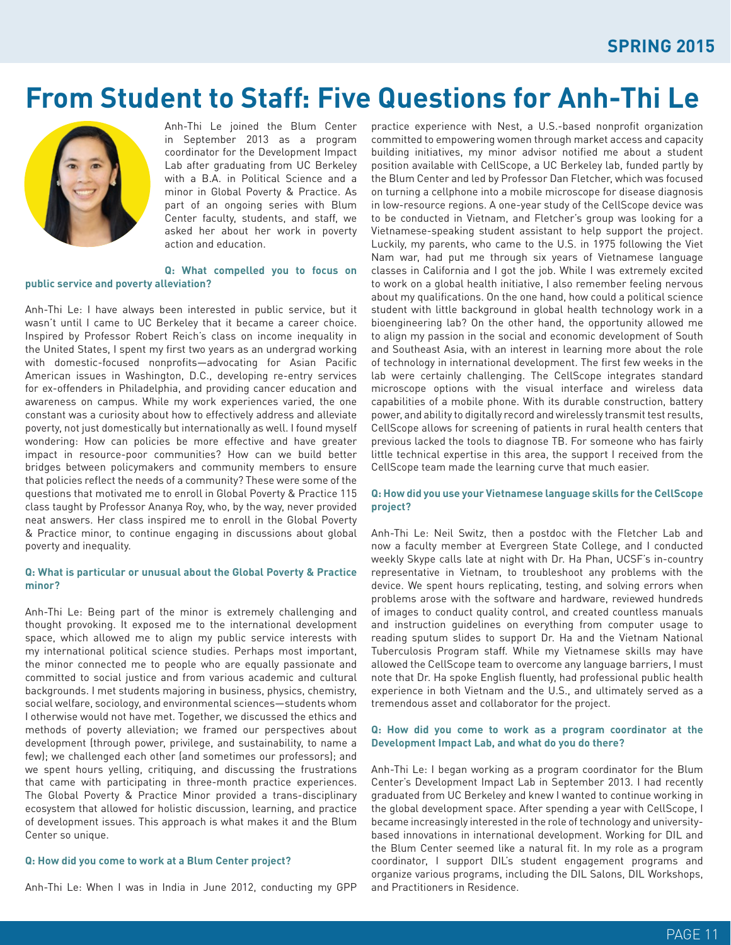## **From Student to Staff: Five Questions for Anh-Thi Le**



Anh-Thi Le joined the Blum Center in September 2013 as a program coordinator for the Development Impact Lab after graduating from UC Berkeley with a B.A. in Political Science and a minor in Global Poverty & Practice. As part of an ongoing series with Blum Center faculty, students, and staff, we asked her about her work in poverty action and education.

#### **Q: What compelled you to focus on public service and poverty alleviation?**

Anh-Thi Le: I have always been interested in public service, but it wasn't until I came to UC Berkeley that it became a career choice. Inspired by Professor Robert Reich's class on income inequality in the United States, I spent my first two years as an undergrad working with domestic-focused nonprofits—advocating for Asian Pacific American issues in Washington, D.C., developing re-entry services for ex-offenders in Philadelphia, and providing cancer education and awareness on campus. While my work experiences varied, the one constant was a curiosity about how to effectively address and alleviate poverty, not just domestically but internationally as well. I found myself wondering: How can policies be more effective and have greater impact in resource-poor communities? How can we build better bridges between policymakers and community members to ensure that policies reflect the needs of a community? These were some of the questions that motivated me to enroll in Global Poverty & Practice 115 class taught by Professor Ananya Roy, who, by the way, never provided neat answers. Her class inspired me to enroll in the Global Poverty & Practice minor, to continue engaging in discussions about global poverty and inequality.

#### **Q: What is particular or unusual about the Global Poverty & Practice minor?**

Anh-Thi Le: Being part of the minor is extremely challenging and thought provoking. It exposed me to the international development space, which allowed me to align my public service interests with my international political science studies. Perhaps most important, the minor connected me to people who are equally passionate and committed to social justice and from various academic and cultural backgrounds. I met students majoring in business, physics, chemistry, social welfare, sociology, and environmental sciences—students whom I otherwise would not have met. Together, we discussed the ethics and methods of poverty alleviation; we framed our perspectives about development (through power, privilege, and sustainability, to name a few); we challenged each other (and sometimes our professors); and we spent hours yelling, critiquing, and discussing the frustrations that came with participating in three-month practice experiences. The Global Poverty & Practice Minor provided a trans-disciplinary ecosystem that allowed for holistic discussion, learning, and practice of development issues. This approach is what makes it and the Blum Center so unique.

#### **Q: How did you come to work at a Blum Center project?**

Anh-Thi Le: When I was in India in June 2012, conducting my GPP

practice experience with Nest, a U.S.-based nonprofit organization committed to empowering women through market access and capacity building initiatives, my minor advisor notified me about a student position available with CellScope, a UC Berkeley lab, funded partly by the Blum Center and led by Professor Dan Fletcher, which was focused on turning a cellphone into a mobile microscope for disease diagnosis in low-resource regions. A one-year study of the CellScope device was to be conducted in Vietnam, and Fletcher's group was looking for a Vietnamese-speaking student assistant to help support the project. Luckily, my parents, who came to the U.S. in 1975 following the Viet Nam war, had put me through six years of Vietnamese language classes in California and I got the job. While I was extremely excited to work on a global health initiative, I also remember feeling nervous about my qualifications. On the one hand, how could a political science student with little background in global health technology work in a bioengineering lab? On the other hand, the opportunity allowed me to align my passion in the social and economic development of South and Southeast Asia, with an interest in learning more about the role of technology in international development. The first few weeks in the lab were certainly challenging. The CellScope integrates standard microscope options with the visual interface and wireless data capabilities of a mobile phone. With its durable construction, battery power, and ability to digitally record and wirelessly transmit test results, CellScope allows for screening of patients in rural health centers that previous lacked the tools to diagnose TB. For someone who has fairly little technical expertise in this area, the support I received from the CellScope team made the learning curve that much easier.

#### **Q: How did you use your Vietnamese language skills for the CellScope project?**

Anh-Thi Le: Neil Switz, then a postdoc with the Fletcher Lab and now a faculty member at Evergreen State College, and I conducted weekly Skype calls late at night with Dr. Ha Phan, UCSF's in-country representative in Vietnam, to troubleshoot any problems with the device. We spent hours replicating, testing, and solving errors when problems arose with the software and hardware, reviewed hundreds of images to conduct quality control, and created countless manuals and instruction guidelines on everything from computer usage to reading sputum slides to support Dr. Ha and the Vietnam National Tuberculosis Program staff. While my Vietnamese skills may have allowed the CellScope team to overcome any language barriers, I must note that Dr. Ha spoke English fluently, had professional public health experience in both Vietnam and the U.S., and ultimately served as a tremendous asset and collaborator for the project.

#### **Q: How did you come to work as a program coordinator at the Development Impact Lab, and what do you do there?**

Anh-Thi Le: I began working as a program coordinator for the Blum Center's Development Impact Lab in September 2013. I had recently graduated from UC Berkeley and knew I wanted to continue working in the global development space. After spending a year with CellScope, I became increasingly interested in the role of technology and universitybased innovations in international development. Working for DIL and the Blum Center seemed like a natural fit. In my role as a program coordinator, I support DIL's student engagement programs and organize various programs, including the DIL Salons, DIL Workshops, and Practitioners in Residence.